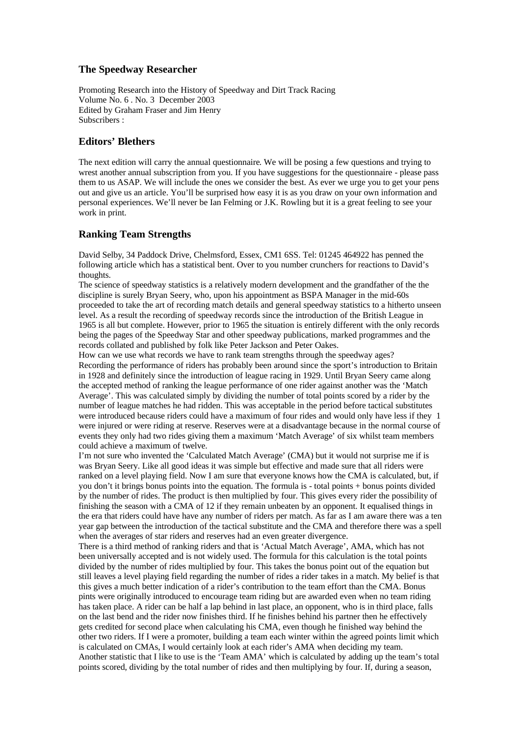## **The Speedway Researcher**

Promoting Research into the History of Speedway and Dirt Track Racing Volume No. 6 . No. 3 December 2003 Edited by Graham Fraser and Jim Henry Subscribers :

## **Editors' Blethers**

The next edition will carry the annual questionnaire. We will be posing a few questions and trying to wrest another annual subscription from you. If you have suggestions for the questionnaire - please pass them to us ASAP. We will include the ones we consider the best. As ever we urge you to get your pens out and give us an article. You'll be surprised how easy it is as you draw on your own information and personal experiences. We'll never be Ian Felming or J.K. Rowling but it is a great feeling to see your work in print.

## **Ranking Team Strengths**

David Selby, 34 Paddock Drive, Chelmsford, Essex, CM1 6SS. Tel: 01245 464922 has penned the following article which has a statistical bent. Over to you number crunchers for reactions to David's thoughts.

The science of speedway statistics is a relatively modern development and the grandfather of the the discipline is surely Bryan Seery, who, upon his appointment as BSPA Manager in the mid-60s proceeded to take the art of recording match details and general speedway statistics to a hitherto unseen level. As a result the recording of speedway records since the introduction of the British League in 1965 is all but complete. However, prior to 1965 the situation is entirely different with the only records being the pages of the Speedway Star and other speedway publications, marked programmes and the records collated and published by folk like Peter Jackson and Peter Oakes.

How can we use what records we have to rank team strengths through the speedway ages? Recording the performance of riders has probably been around since the sport's introduction to Britain in 1928 and definitely since the introduction of league racing in 1929. Until Bryan Seery came along the accepted method of ranking the league performance of one rider against another was the 'Match Average'. This was calculated simply by dividing the number of total points scored by a rider by the number of league matches he had ridden. This was acceptable in the period before tactical substitutes were introduced because riders could have a maximum of four rides and would only have less if they 1 were injured or were riding at reserve. Reserves were at a disadvantage because in the normal course of events they only had two rides giving them a maximum 'Match Average' of six whilst team members could achieve a maximum of twelve.

I'm not sure who invented the 'Calculated Match Average' (CMA) but it would not surprise me if is was Bryan Seery. Like all good ideas it was simple but effective and made sure that all riders were ranked on a level playing field. Now I am sure that everyone knows how the CMA is calculated, but, if you don't it brings bonus points into the equation. The formula is - total points + bonus points divided by the number of rides. The product is then multiplied by four. This gives every rider the possibility of finishing the season with a CMA of 12 if they remain unbeaten by an opponent. It equalised things in the era that riders could have have any number of riders per match. As far as I am aware there was a ten year gap between the introduction of the tactical substitute and the CMA and therefore there was a spell when the averages of star riders and reserves had an even greater divergence.

There is a third method of ranking riders and that is 'Actual Match Average', AMA, which has not been universally accepted and is not widely used. The formula for this calculation is the total points divided by the number of rides multiplied by four. This takes the bonus point out of the equation but still leaves a level playing field regarding the number of rides a rider takes in a match. My belief is that this gives a much better indication of a rider's contribution to the team effort than the CMA. Bonus pints were originally introduced to encourage team riding but are awarded even when no team riding has taken place. A rider can be half a lap behind in last place, an opponent, who is in third place, falls on the last bend and the rider now finishes third. If he finishes behind his partner then he effectively gets credited for second place when calculating his CMA, even though he finished way behind the other two riders. If I were a promoter, building a team each winter within the agreed points limit which is calculated on CMAs, I would certainly look at each rider's AMA when deciding my team. Another statistic that I like to use is the 'Team AMA' which is calculated by adding up the team's total points scored, dividing by the total number of rides and then multiplying by four. If, during a season,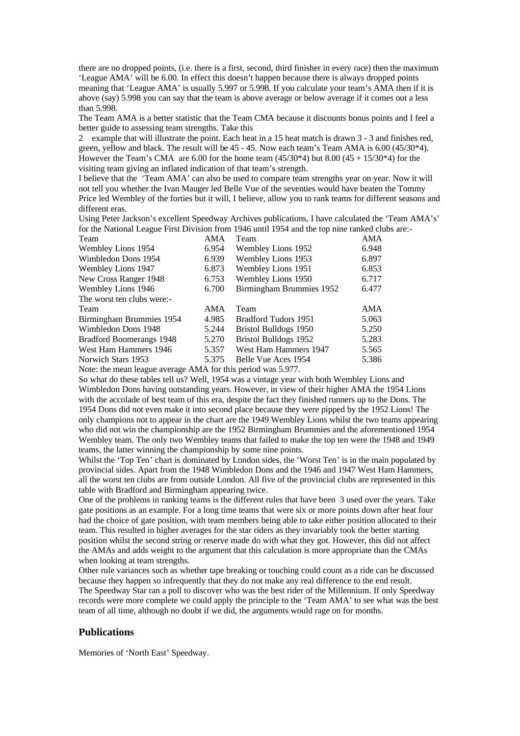there are no dropped points, (i.e. there is a first, second, third finisher in every race) then the maximum 'League AMA' will be 6.00. In effect this doesn't happen because there is always dropped points meaning that 'League AMA' is usually 5.997 or 5.998. If you calculate your team's AMA then if it is above (say) 5.998 you can say that the team is above average or below average if it comes out a less than 5.998.

The Team AMA is a better statistic that the Team CMA because it discounts bonus points and I feel a better guide to assessing team strengths. Take this

2 example that will illustrate the point. Each heat in a 15 heat match is drawn 3 - 3 and finishes red, green, yellow and black. The result will be 45 - 45. Now each team's Team AMA is 6.00 (45/30\*4). However the Team's CMA are 6.00 for the home team  $(45/30*4)$  but  $8.00 (45 + 15/30*4)$  for the visiting team giving an inflated indication of that team's strength.

I believe that the 'Team AMA' can also be used to compare team strengths year on year. Now it will not tell you whether the Ivan Mauger led Belle Vue of the seventies would have beaten the Tommy Price led Wembley of the forties but it will, I believe, allow you to rank teams for different seasons and different eras.

Using Peter Jackson's excellent Speedway Archives publications, I have calculated the 'Team AMA's' for the National League First Division from 1946 until 1954 and the top nine ranked clubs are:-

| Team                       | AMA   | Team                     | AMA   |
|----------------------------|-------|--------------------------|-------|
| Wembley Lions 1954         | 6.954 | Wembley Lions 1952       | 6.948 |
| Wimbledon Dons 1954        | 6.939 | Wembley Lions 1953       | 6.897 |
| Wembley Lions 1947         | 6.873 | Wembley Lions 1951       | 6.853 |
| New Cross Ranger 1948      | 6.753 | Wembley Lions 1950       | 6.717 |
| Wembley Lions 1946         | 6.700 | Birmingham Brummies 1952 | 6.477 |
| The worst ten clubs were:- |       |                          |       |
| Team                       | AMA   | Team                     | AMA   |
| Birmingham Brummies 1954   | 4.985 | Bradford Tudors 1951     | 5.063 |
| Wimbledon Dons 1948        | 5.244 | Bristol Bulldogs 1950    | 5.250 |
| Bradford Boomerangs 1948   | 5.270 | Bristol Bulldogs 1952    | 5.283 |
| West Ham Hammers 1946      | 5.357 | West Ham Hammers 1947    | 5.565 |
| Norwich Stars 1953         | 5.375 | Belle Vue Aces 1954      | 5.386 |
|                            |       |                          |       |

Note: the mean league average AMA for this period was 5.977.

So what do these tables tell us? Well, 1954 was a vintage year with both Wembley Lions and Wimbledon Dons having outstanding years. However, in view of their higher AMA the 1954 Lions with the accolade of best team of this era, despite the fact they finished runners up to the Dons. The 1954 Dons did not even make it into second place because they were pipped by the 1952 Lions! The only champions not to appear in the chart are the 1949 Wembley Lions whilst the two teams appearing who did not win the championship are the 1952 Birmingham Brummies and the aforementioned 1954 Wembley team. The only two Wembley teams that failed to make the top ten were the 1948 and 1949 teams, the latter winning the championship by some nine points.

Whilst the 'Top Ten' chart is dominated by London sides, the 'Worst Ten' is in the main populated by provincial sides. Apart from the 1948 Wimbledon Dons and the 1946 and 1947 West Ham Hammers, all the worst ten clubs are from outside London. All five of the provincial clubs are represented in this table with Bradford and Birmingham appearing twice.

One of the problems in ranking teams is the different rules that have been 3 used over the years. Take gate positions as an example. For a long time teams that were six or more points down after heat four had the choice of gate position, with team members being able to take either position allocated to their team. This resulted in higher averages for the star riders as they invariably took the better starting position whilst the second string or reserve made do with what they got. However, this did not affect the AMAs and adds weight to the argument that this calculation is more appropriate than the CMAs when looking at team strengths.

Other rule variances such as whether tape breaking or touching could count as a ride can be discussed because they happen so infrequently that they do not make any real difference to the end result. The Speedway Star ran a poll to discover who was the best rider of the Millennium. If only Speedway records were more complete we could apply the principle to the 'Team AMA' to see what was the best team of all time, although no doubt if we did, the arguments would rage on for months.

#### **Publications**

Memories of 'North East' Speedway.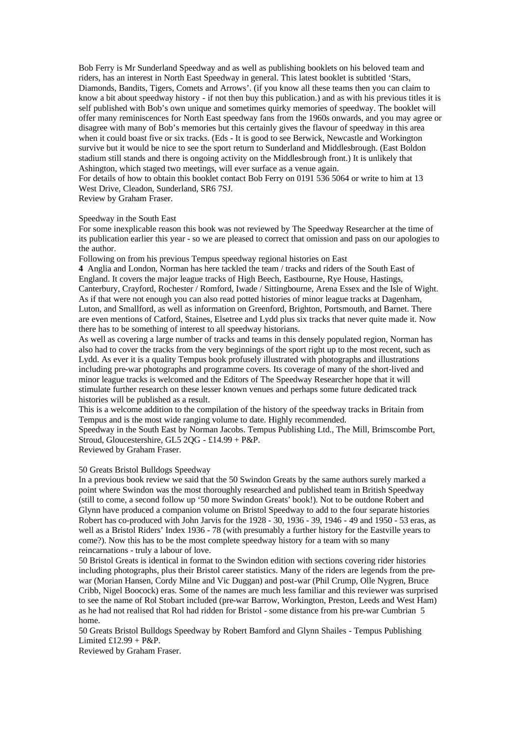Bob Ferry is Mr Sunderland Speedway and as well as publishing booklets on his beloved team and riders, has an interest in North East Speedway in general. This latest booklet is subtitled 'Stars, Diamonds, Bandits, Tigers, Comets and Arrows'. (if you know all these teams then you can claim to know a bit about speedway history - if not then buy this publication.) and as with his previous titles it is self published with Bob's own unique and sometimes quirky memories of speedway. The booklet will offer many reminiscences for North East speedway fans from the 1960s onwards, and you may agree or disagree with many of Bob's memories but this certainly gives the flavour of speedway in this area when it could boast five or six tracks. (Eds - It is good to see Berwick, Newcastle and Workington survive but it would be nice to see the sport return to Sunderland and Middlesbrough. (East Boldon stadium still stands and there is ongoing activity on the Middlesbrough front.) It is unlikely that Ashington, which staged two meetings, will ever surface as a venue again.

For details of how to obtain this booklet contact Bob Ferry on 0191 536 5064 or write to him at 13 West Drive, Cleadon, Sunderland, SR6 7SJ.

Review by Graham Fraser.

#### Speedway in the South East

For some inexplicable reason this book was not reviewed by The Speedway Researcher at the time of its publication earlier this year - so we are pleased to correct that omission and pass on our apologies to the author.

Following on from his previous Tempus speedway regional histories on East

**4** Anglia and London, Norman has here tackled the team / tracks and riders of the South East of England. It covers the major league tracks of High Beech, Eastbourne, Rye House, Hastings, Canterbury, Crayford, Rochester / Romford, Iwade / Sittingbourne, Arena Essex and the Isle of Wight. As if that were not enough you can also read potted histories of minor league tracks at Dagenham, Luton, and Smallford, as well as information on Greenford, Brighton, Portsmouth, and Barnet. There are even mentions of Catford, Staines, Elsetree and Lydd plus six tracks that never quite made it. Now there has to be something of interest to all speedway historians.

As well as covering a large number of tracks and teams in this densely populated region, Norman has also had to cover the tracks from the very beginnings of the sport right up to the most recent, such as Lydd. As ever it is a quality Tempus book profusely illustrated with photographs and illustrations including pre-war photographs and programme covers. Its coverage of many of the short-lived and minor league tracks is welcomed and the Editors of The Speedway Researcher hope that it will stimulate further research on these lesser known venues and perhaps some future dedicated track histories will be published as a result.

This is a welcome addition to the compilation of the history of the speedway tracks in Britain from Tempus and is the most wide ranging volume to date. Highly recommended.

Speedway in the South East by Norman Jacobs. Tempus Publishing Ltd., The Mill, Brimscombe Port, Stroud, Gloucestershire, GL5 2QG - £14.99 + P&P.

Reviewed by Graham Fraser.

50 Greats Bristol Bulldogs Speedway

In a previous book review we said that the 50 Swindon Greats by the same authors surely marked a point where Swindon was the most thoroughly researched and published team in British Speedway (still to come, a second follow up '50 more Swindon Greats' book!). Not to be outdone Robert and Glynn have produced a companion volume on Bristol Speedway to add to the four separate histories Robert has co-produced with John Jarvis for the 1928 - 30, 1936 - 39, 1946 - 49 and 1950 - 53 eras, as well as a Bristol Riders' Index 1936 - 78 (with presumably a further history for the Eastville years to come?). Now this has to be the most complete speedway history for a team with so many reincarnations - truly a labour of love.

50 Bristol Greats is identical in format to the Swindon edition with sections covering rider histories including photographs, plus their Bristol career statistics. Many of the riders are legends from the prewar (Morian Hansen, Cordy Milne and Vic Duggan) and post-war (Phil Crump, Olle Nygren, Bruce Cribb, Nigel Boocock) eras. Some of the names are much less familiar and this reviewer was surprised to see the name of Rol Stobart included (pre-war Barrow, Workington, Preston, Leeds and West Ham) as he had not realised that Rol had ridden for Bristol - some distance from his pre-war Cumbrian 5 home.

50 Greats Bristol Bulldogs Speedway by Robert Bamford and Glynn Shailes - Tempus Publishing Limited  $£12.99 + P&P.$ 

Reviewed by Graham Fraser.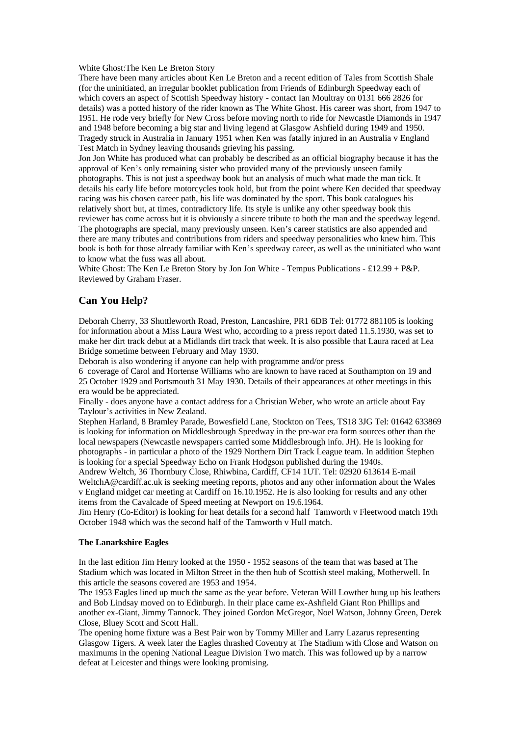White Ghost:The Ken Le Breton Story

There have been many articles about Ken Le Breton and a recent edition of Tales from Scottish Shale (for the uninitiated, an irregular booklet publication from Friends of Edinburgh Speedway each of which covers an aspect of Scottish Speedway history - contact Ian Moultray on 0131 666 2826 for details) was a potted history of the rider known as The White Ghost. His career was short, from 1947 to 1951. He rode very briefly for New Cross before moving north to ride for Newcastle Diamonds in 1947 and 1948 before becoming a big star and living legend at Glasgow Ashfield during 1949 and 1950. Tragedy struck in Australia in January 1951 when Ken was fatally injured in an Australia v England Test Match in Sydney leaving thousands grieving his passing.

Jon Jon White has produced what can probably be described as an official biography because it has the approval of Ken's only remaining sister who provided many of the previously unseen family photographs. This is not just a speedway book but an analysis of much what made the man tick. It details his early life before motorcycles took hold, but from the point where Ken decided that speedway racing was his chosen career path, his life was dominated by the sport. This book catalogues his relatively short but, at times, contradictory life. Its style is unlike any other speedway book this reviewer has come across but it is obviously a sincere tribute to both the man and the speedway legend. The photographs are special, many previously unseen. Ken's career statistics are also appended and there are many tributes and contributions from riders and speedway personalities who knew him. This book is both for those already familiar with Ken's speedway career, as well as the uninitiated who want to know what the fuss was all about.

White Ghost: The Ken Le Breton Story by Jon Jon White - Tempus Publications - £12.99 + P&P. Reviewed by Graham Fraser.

#### **Can You Help?**

Deborah Cherry, 33 Shuttleworth Road, Preston, Lancashire, PR1 6DB Tel: 01772 881105 is looking for information about a Miss Laura West who, according to a press report dated 11.5.1930, was set to make her dirt track debut at a Midlands dirt track that week. It is also possible that Laura raced at Lea Bridge sometime between February and May 1930.

Deborah is also wondering if anyone can help with programme and/or press

6 coverage of Carol and Hortense Williams who are known to have raced at Southampton on 19 and 25 October 1929 and Portsmouth 31 May 1930. Details of their appearances at other meetings in this era would be be appreciated.

Finally - does anyone have a contact address for a Christian Weber, who wrote an article about Fay Taylour's activities in New Zealand.

Stephen Harland, 8 Bramley Parade, Bowesfield Lane, Stockton on Tees, TS18 3JG Tel: 01642 633869 is looking for information on Middlesbrough Speedway in the pre-war era form sources other than the local newspapers (Newcastle newspapers carried some Middlesbrough info. JH). He is looking for photographs - in particular a photo of the 1929 Northern Dirt Track League team. In addition Stephen is looking for a special Speedway Echo on Frank Hodgson published during the 1940s.

Andrew Weltch, 36 Thornbury Close, Rhiwbina, Cardiff, CF14 1UT. Tel: 02920 613614 E-mail WeltchA@cardiff.ac.uk is seeking meeting reports, photos and any other information about the Wales v England midget car meeting at Cardiff on 16.10.1952. He is also looking for results and any other items from the Cavalcade of Speed meeting at Newport on 19.6.1964.

Jim Henry (Co-Editor) is looking for heat details for a second half Tamworth v Fleetwood match 19th October 1948 which was the second half of the Tamworth v Hull match.

#### **The Lanarkshire Eagles**

In the last edition Jim Henry looked at the 1950 - 1952 seasons of the team that was based at The Stadium which was located in Milton Street in the then hub of Scottish steel making, Motherwell. In this article the seasons covered are 1953 and 1954.

The 1953 Eagles lined up much the same as the year before. Veteran Will Lowther hung up his leathers and Bob Lindsay moved on to Edinburgh. In their place came ex-Ashfield Giant Ron Phillips and another ex-Giant, Jimmy Tannock. They joined Gordon McGregor, Noel Watson, Johnny Green, Derek Close, Bluey Scott and Scott Hall.

The opening home fixture was a Best Pair won by Tommy Miller and Larry Lazarus representing Glasgow Tigers. A week later the Eagles thrashed Coventry at The Stadium with Close and Watson on maximums in the opening National League Division Two match. This was followed up by a narrow defeat at Leicester and things were looking promising.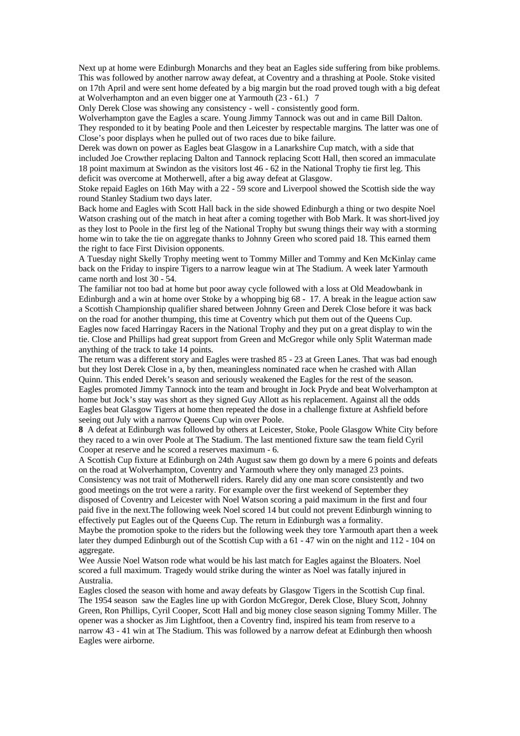Next up at home were Edinburgh Monarchs and they beat an Eagles side suffering from bike problems. This was followed by another narrow away defeat, at Coventry and a thrashing at Poole. Stoke visited on 17th April and were sent home defeated by a big margin but the road proved tough with a big defeat at Wolverhampton and an even bigger one at Yarmouth (23 - 61.) 7

Only Derek Close was showing any consistency - well - consistently good form.

Wolverhampton gave the Eagles a scare. Young Jimmy Tannock was out and in came Bill Dalton. They responded to it by beating Poole and then Leicester by respectable margins. The latter was one of Close's poor displays when he pulled out of two races due to bike failure.

Derek was down on power as Eagles beat Glasgow in a Lanarkshire Cup match, with a side that included Joe Crowther replacing Dalton and Tannock replacing Scott Hall, then scored an immaculate 18 point maximum at Swindon as the visitors lost 46 - 62 in the National Trophy tie first leg. This deficit was overcome at Motherwell, after a big away defeat at Glasgow.

Stoke repaid Eagles on 16th May with a 22 - 59 score and Liverpool showed the Scottish side the way round Stanley Stadium two days later.

Back home and Eagles with Scott Hall back in the side showed Edinburgh a thing or two despite Noel Watson crashing out of the match in heat after a coming together with Bob Mark. It was short-lived joy as they lost to Poole in the first leg of the National Trophy but swung things their way with a storming home win to take the tie on aggregate thanks to Johnny Green who scored paid 18. This earned them the right to face First Division opponents.

A Tuesday night Skelly Trophy meeting went to Tommy Miller and Tommy and Ken McKinlay came back on the Friday to inspire Tigers to a narrow league win at The Stadium. A week later Yarmouth came north and lost 30 - 54.

The familiar not too bad at home but poor away cycle followed with a loss at Old Meadowbank in Edinburgh and a win at home over Stoke by a whopping big 68 - 17. A break in the league action saw a Scottish Championship qualifier shared between Johnny Green and Derek Close before it was back on the road for another thumping, this time at Coventry which put them out of the Queens Cup. Eagles now faced Harringay Racers in the National Trophy and they put on a great display to win the tie. Close and Phillips had great support from Green and McGregor while only Split Waterman made anything of the track to take 14 points.

The return was a different story and Eagles were trashed 85 - 23 at Green Lanes. That was bad enough but they lost Derek Close in a, by then, meaningless nominated race when he crashed with Allan Quinn. This ended Derek's season and seriously weakened the Eagles for the rest of the season. Eagles promoted Jimmy Tannock into the team and brought in Jock Pryde and beat Wolverhampton at home but Jock's stay was short as they signed Guy Allott as his replacement. Against all the odds Eagles beat Glasgow Tigers at home then repeated the dose in a challenge fixture at Ashfield before seeing out July with a narrow Queens Cup win over Poole.

**8** A defeat at Edinburgh was followed by others at Leicester, Stoke, Poole Glasgow White City before they raced to a win over Poole at The Stadium. The last mentioned fixture saw the team field Cyril Cooper at reserve and he scored a reserves maximum - 6.

A Scottish Cup fixture at Edinburgh on 24th August saw them go down by a mere 6 points and defeats on the road at Wolverhampton, Coventry and Yarmouth where they only managed 23 points. Consistency was not trait of Motherwell riders. Rarely did any one man score consistently and two good meetings on the trot were a rarity. For example over the first weekend of September they disposed of Coventry and Leicester with Noel Watson scoring a paid maximum in the first and four paid five in the next.The following week Noel scored 14 but could not prevent Edinburgh winning to effectively put Eagles out of the Queens Cup. The return in Edinburgh was a formality.

Maybe the promotion spoke to the riders but the following week they tore Yarmouth apart then a week later they dumped Edinburgh out of the Scottish Cup with a 61 - 47 win on the night and 112 - 104 on aggregate.

Wee Aussie Noel Watson rode what would be his last match for Eagles against the Bloaters. Noel scored a full maximum. Tragedy would strike during the winter as Noel was fatally injured in Australia.

Eagles closed the season with home and away defeats by Glasgow Tigers in the Scottish Cup final. The 1954 season saw the Eagles line up with Gordon McGregor, Derek Close, Bluey Scott, Johnny Green, Ron Phillips, Cyril Cooper, Scott Hall and big money close season signing Tommy Miller. The opener was a shocker as Jim Lightfoot, then a Coventry find, inspired his team from reserve to a narrow 43 - 41 win at The Stadium. This was followed by a narrow defeat at Edinburgh then whoosh Eagles were airborne.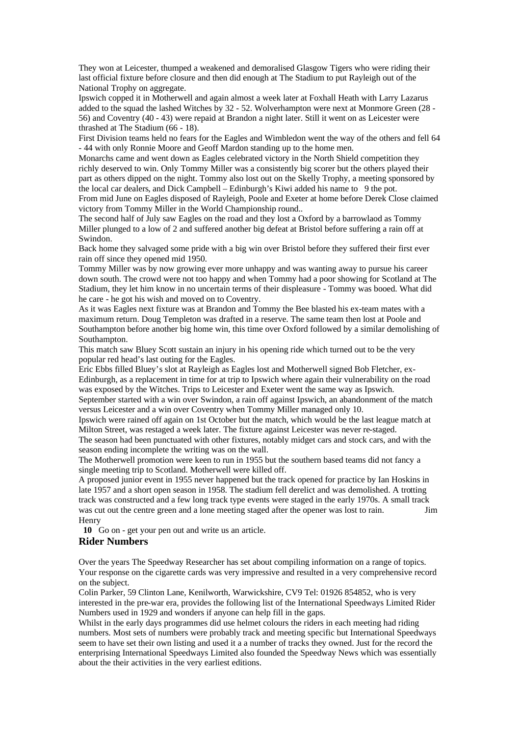They won at Leicester, thumped a weakened and demoralised Glasgow Tigers who were riding their last official fixture before closure and then did enough at The Stadium to put Rayleigh out of the National Trophy on aggregate.

Ipswich copped it in Motherwell and again almost a week later at Foxhall Heath with Larry Lazarus added to the squad the lashed Witches by 32 - 52. Wolverhampton were next at Monmore Green (28 - 56) and Coventry (40 - 43) were repaid at Brandon a night later. Still it went on as Leicester were thrashed at The Stadium (66 - 18).

First Division teams held no fears for the Eagles and Wimbledon went the way of the others and fell 64 - 44 with only Ronnie Moore and Geoff Mardon standing up to the home men.

Monarchs came and went down as Eagles celebrated victory in the North Shield competition they richly deserved to win. Only Tommy Miller was a consistently big scorer but the others played their part as others dipped on the night. Tommy also lost out on the Skelly Trophy, a meeting sponsored by the local car dealers, and Dick Campbell – Edinburgh's Kiwi added his name to 9 the pot. From mid June on Eagles disposed of Rayleigh, Poole and Exeter at home before Derek Close claimed victory from Tommy Miller in the World Championship round..

The second half of July saw Eagles on the road and they lost a Oxford by a barrowlaod as Tommy Miller plunged to a low of 2 and suffered another big defeat at Bristol before suffering a rain off at Swindon.

Back home they salvaged some pride with a big win over Bristol before they suffered their first ever rain off since they opened mid 1950.

Tommy Miller was by now growing ever more unhappy and was wanting away to pursue his career down south. The crowd were not too happy and when Tommy had a poor showing for Scotland at The Stadium, they let him know in no uncertain terms of their displeasure - Tommy was booed. What did he care - he got his wish and moved on to Coventry.

As it was Eagles next fixture was at Brandon and Tommy the Bee blasted his ex-team mates with a maximum return. Doug Templeton was drafted in a reserve. The same team then lost at Poole and Southampton before another big home win, this time over Oxford followed by a similar demolishing of Southampton.

This match saw Bluey Scott sustain an injury in his opening ride which turned out to be the very popular red head's last outing for the Eagles.

Eric Ebbs filled Bluey's slot at Rayleigh as Eagles lost and Motherwell signed Bob Fletcher, ex-Edinburgh, as a replacement in time for at trip to Ipswich where again their vulnerability on the road was exposed by the Witches. Trips to Leicester and Exeter went the same way as Ipswich. September started with a win over Swindon, a rain off against Ipswich, an abandonment of the match

versus Leicester and a win over Coventry when Tommy Miller managed only 10.

Ipswich were rained off again on 1st October but the match, which would be the last league match at Milton Street, was restaged a week later. The fixture against Leicester was never re-staged.

The season had been punctuated with other fixtures, notably midget cars and stock cars, and with the season ending incomplete the writing was on the wall.

The Motherwell promotion were keen to run in 1955 but the southern based teams did not fancy a single meeting trip to Scotland. Motherwell were killed off.

A proposed junior event in 1955 never happened but the track opened for practice by Ian Hoskins in late 1957 and a short open season in 1958. The stadium fell derelict and was demolished. A trotting track was constructed and a few long track type events were staged in the early 1970s. A small track was cut out the centre green and a lone meeting staged after the opener was lost to rain. Jim Henry

**10** Go on - get your pen out and write us an article.

#### **Rider Numbers**

Over the years The Speedway Researcher has set about compiling information on a range of topics. Your response on the cigarette cards was very impressive and resulted in a very comprehensive record on the subject.

Colin Parker, 59 Clinton Lane, Kenilworth, Warwickshire, CV9 Tel: 01926 854852, who is very interested in the pre-war era, provides the following list of the International Speedways Limited Rider Numbers used in 1929 and wonders if anyone can help fill in the gaps.

Whilst in the early days programmes did use helmet colours the riders in each meeting had riding numbers. Most sets of numbers were probably track and meeting specific but International Speedways seem to have set their own listing and used it a a number of tracks they owned. Just for the record the enterprising International Speedways Limited also founded the Speedway News which was essentially about the their activities in the very earliest editions.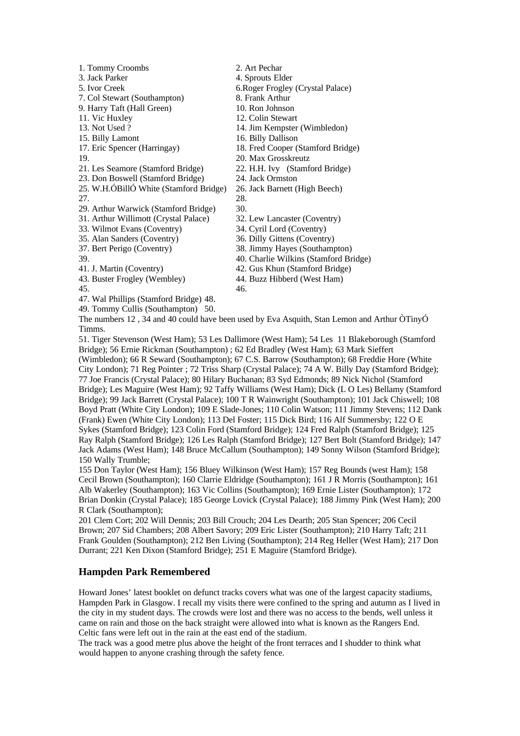| 1. Tommy Croombs                       | 2. Art Pechar                         |
|----------------------------------------|---------------------------------------|
| 3. Jack Parker                         | 4. Sprouts Elder                      |
| 5. Ivor Creek                          | 6. Roger Frogley (Crystal Palace)     |
| 7. Col Stewart (Southampton)           | 8. Frank Arthur                       |
| 9. Harry Taft (Hall Green)             | 10. Ron Johnson                       |
| 11. Vic Huxley                         | 12. Colin Stewart                     |
| 13. Not Used?                          | 14. Jim Kempster (Wimbledon)          |
| 15. Billy Lamont                       | 16. Billy Dallison                    |
| 17. Eric Spencer (Harringay)           | 18. Fred Cooper (Stamford Bridge)     |
| 19.                                    | 20. Max Grosskreutz                   |
| 21. Les Seamore (Stamford Bridge)      | 22. H.H. Ivy (Stamford Bridge)        |
| 23. Don Boswell (Stamford Bridge)      | 24. Jack Ormston                      |
| 25. W.H.ÓBillÓ White (Stamford Bridge) | 26. Jack Barnett (High Beech)         |
| 27.                                    | 28.                                   |
| 29. Arthur Warwick (Stamford Bridge)   | 30.                                   |
| 31. Arthur Willimott (Crystal Palace)  | 32. Lew Lancaster (Coventry)          |
| 33. Wilmot Evans (Coventry)            | 34. Cyril Lord (Coventry)             |
| 35. Alan Sanders (Coventry)            | 36. Dilly Gittens (Coventry)          |
| 37. Bert Perigo (Coventry)             | 38. Jimmy Hayes (Southampton)         |
| 39.                                    | 40. Charlie Wilkins (Stamford Bridge) |
| 41. J. Martin (Coventry)               | 42. Gus Khun (Stamford Bridge)        |
| 43. Buster Frogley (Wembley)           | 44. Buzz Hibberd (West Ham)           |
| 45.                                    | 46.                                   |
| 47. Wal Phillips (Stamford Bridge) 48. |                                       |
|                                        |                                       |

49. Tommy Cullis (Southampton) 50.

The numbers 12 , 34 and 40 could have been used by Eva Asquith, Stan Lemon and Arthur ÒTinyÓ Timms.

51. Tiger Stevenson (West Ham); 53 Les Dallimore (West Ham); 54 Les 11 Blakeborough (Stamford Bridge); 56 Ernie Rickman (Southampton) ; 62 Ed Bradley (West Ham); 63 Mark Sieffert (Wimbledon); 66 R Seward (Southampton); 67 C.S. Barrow (Southampton); 68 Freddie Hore (White City London); 71 Reg Pointer ; 72 Triss Sharp (Crystal Palace); 74 A W. Billy Day (Stamford Bridge); 77 Joe Francis (Crystal Palace); 80 Hilary Buchanan; 83 Syd Edmonds; 89 Nick Nichol (Stamford Bridge); Les Maguire (West Ham); 92 Taffy Williams (West Ham); Dick (L O Les) Bellamy (Stamford Bridge); 99 Jack Barrett (Crystal Palace); 100 T R Wainwright (Southampton); 101 Jack Chiswell; 108 Boyd Pratt (White City London); 109 E Slade-Jones; 110 Colin Watson; 111 Jimmy Stevens; 112 Dank (Frank) Ewen (White City London); 113 Del Foster; 115 Dick Bird; 116 Alf Summersby; 122 O E Sykes (Stamford Bridge); 123 Colin Ford (Stamford Bridge); 124 Fred Ralph (Stamford Bridge); 125 Ray Ralph (Stamford Bridge); 126 Les Ralph (Stamford Bridge); 127 Bert Bolt (Stamford Bridge); 147 Jack Adams (West Ham); 148 Bruce McCallum (Southampton); 149 Sonny Wilson (Stamford Bridge); 150 Wally Trumble;

155 Don Taylor (West Ham); 156 Bluey Wilkinson (West Ham); 157 Reg Bounds (west Ham); 158 Cecil Brown (Southampton); 160 Clarrie Eldridge (Southampton); 161 J R Morris (Southampton); 161 Alb Wakerley (Southampton); 163 Vic Collins (Southampton); 169 Ernie Lister (Southampton); 172 Brian Donkin (Crystal Palace); 185 George Lovick (Crystal Palace); 188 Jimmy Pink (West Ham); 200 R Clark (Southampton);

201 Clem Cort; 202 Will Dennis; 203 Bill Crouch; 204 Les Dearth; 205 Stan Spencer; 206 Cecil Brown; 207 Sid Chambers; 208 Albert Savory; 209 Eric Lister (Southampton); 210 Harry Taft; 211 Frank Goulden (Southampton); 212 Ben Living (Southampton); 214 Reg Heller (West Ham); 217 Don Durrant; 221 Ken Dixon (Stamford Bridge); 251 E Maguire (Stamford Bridge).

# **Hampden Park Remembered**

Howard Jones' latest booklet on defunct tracks covers what was one of the largest capacity stadiums, Hampden Park in Glasgow. I recall my visits there were confined to the spring and autumn as I lived in the city in my student days. The crowds were lost and there was no access to the bends, well unless it came on rain and those on the back straight were allowed into what is known as the Rangers End. Celtic fans were left out in the rain at the east end of the stadium.

The track was a good metre plus above the height of the front terraces and I shudder to think what would happen to anyone crashing through the safety fence.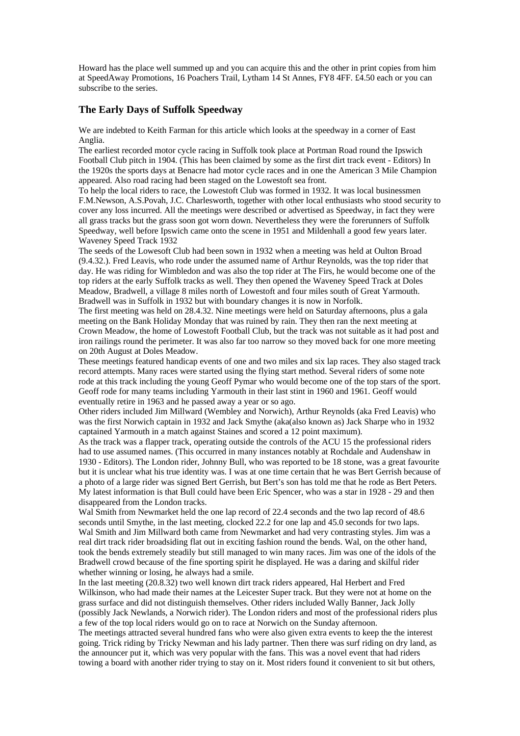Howard has the place well summed up and you can acquire this and the other in print copies from him at SpeedAway Promotions, 16 Poachers Trail, Lytham 14 St Annes, FY8 4FF. £4.50 each or you can subscribe to the series.

## **The Early Days of Suffolk Speedway**

We are indebted to Keith Farman for this article which looks at the speedway in a corner of East Anglia.

The earliest recorded motor cycle racing in Suffolk took place at Portman Road round the Ipswich Football Club pitch in 1904. (This has been claimed by some as the first dirt track event - Editors) In the 1920s the sports days at Benacre had motor cycle races and in one the American 3 Mile Champion appeared. Also road racing had been staged on the Lowestoft sea front.

To help the local riders to race, the Lowestoft Club was formed in 1932. It was local businessmen F.M.Newson, A.S.Povah, J.C. Charlesworth, together with other local enthusiasts who stood security to cover any loss incurred. All the meetings were described or advertised as Speedway, in fact they were all grass tracks but the grass soon got worn down. Nevertheless they were the forerunners of Suffolk Speedway, well before Ipswich came onto the scene in 1951 and Mildenhall a good few years later. Waveney Speed Track 1932

The seeds of the Lowesoft Club had been sown in 1932 when a meeting was held at Oulton Broad (9.4.32.). Fred Leavis, who rode under the assumed name of Arthur Reynolds, was the top rider that day. He was riding for Wimbledon and was also the top rider at The Firs, he would become one of the top riders at the early Suffolk tracks as well. They then opened the Waveney Speed Track at Doles Meadow, Bradwell, a village 8 miles north of Lowestoft and four miles south of Great Yarmouth. Bradwell was in Suffolk in 1932 but with boundary changes it is now in Norfolk.

The first meeting was held on 28.4.32. Nine meetings were held on Saturday afternoons, plus a gala meeting on the Bank Holiday Monday that was ruined by rain. They then ran the next meeting at Crown Meadow, the home of Lowestoft Football Club, but the track was not suitable as it had post and iron railings round the perimeter. It was also far too narrow so they moved back for one more meeting on 20th August at Doles Meadow.

These meetings featured handicap events of one and two miles and six lap races. They also staged track record attempts. Many races were started using the flying start method. Several riders of some note rode at this track including the young Geoff Pymar who would become one of the top stars of the sport. Geoff rode for many teams including Yarmouth in their last stint in 1960 and 1961. Geoff would eventually retire in 1963 and he passed away a year or so ago.

Other riders included Jim Millward (Wembley and Norwich), Arthur Reynolds (aka Fred Leavis) who was the first Norwich captain in 1932 and Jack Smythe (aka(also known as) Jack Sharpe who in 1932 captained Yarmouth in a match against Staines and scored a 12 point maximum).

As the track was a flapper track, operating outside the controls of the ACU 15 the professional riders had to use assumed names. (This occurred in many instances notably at Rochdale and Audenshaw in 1930 - Editors). The London rider, Johnny Bull, who was reported to be 18 stone, was a great favourite but it is unclear what his true identity was. I was at one time certain that he was Bert Gerrish because of a photo of a large rider was signed Bert Gerrish, but Bert's son has told me that he rode as Bert Peters. My latest information is that Bull could have been Eric Spencer, who was a star in 1928 - 29 and then disappeared from the London tracks.

Wal Smith from Newmarket held the one lap record of 22.4 seconds and the two lap record of 48.6 seconds until Smythe, in the last meeting, clocked 22.2 for one lap and 45.0 seconds for two laps. Wal Smith and Jim Millward both came from Newmarket and had very contrasting styles. Jim was a real dirt track rider broadsiding flat out in exciting fashion round the bends. Wal, on the other hand, took the bends extremely steadily but still managed to win many races. Jim was one of the idols of the Bradwell crowd because of the fine sporting spirit he displayed. He was a daring and skilful rider whether winning or losing, he always had a smile.

In the last meeting (20.8.32) two well known dirt track riders appeared, Hal Herbert and Fred Wilkinson, who had made their names at the Leicester Super track. But they were not at home on the grass surface and did not distinguish themselves. Other riders included Wally Banner, Jack Jolly (possibly Jack Newlands, a Norwich rider). The London riders and most of the professional riders plus a few of the top local riders would go on to race at Norwich on the Sunday afternoon.

The meetings attracted several hundred fans who were also given extra events to keep the the interest going. Trick riding by Tricky Newman and his lady partner. Then there was surf riding on dry land, as the announcer put it, which was very popular with the fans. This was a novel event that had riders towing a board with another rider trying to stay on it. Most riders found it convenient to sit but others,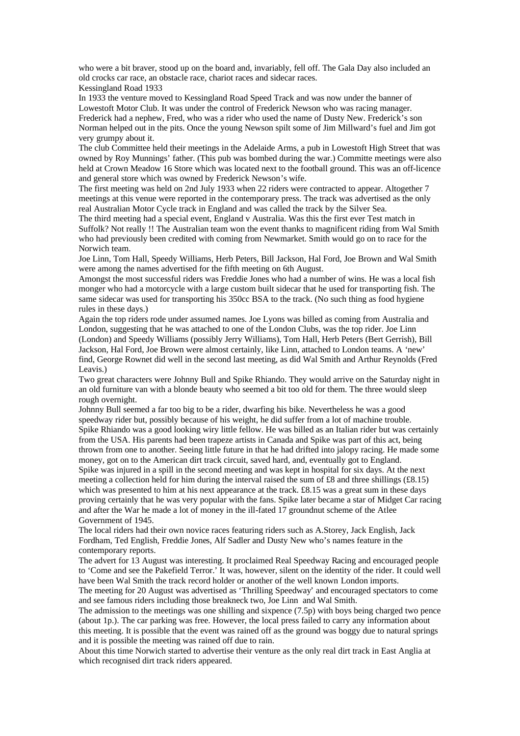who were a bit braver, stood up on the board and, invariably, fell off. The Gala Day also included an old crocks car race, an obstacle race, chariot races and sidecar races. Kessingland Road 1933

In 1933 the venture moved to Kessingland Road Speed Track and was now under the banner of Lowestoft Motor Club. It was under the control of Frederick Newson who was racing manager. Frederick had a nephew, Fred, who was a rider who used the name of Dusty New. Frederick's son Norman helped out in the pits. Once the young Newson spilt some of Jim Millward's fuel and Jim got very grumpy about it.

The club Committee held their meetings in the Adelaide Arms, a pub in Lowestoft High Street that was owned by Roy Munnings' father. (This pub was bombed during the war.) Committe meetings were also held at Crown Meadow 16 Store which was located next to the football ground. This was an off-licence and general store which was owned by Frederick Newson's wife.

The first meeting was held on 2nd July 1933 when 22 riders were contracted to appear. Altogether 7 meetings at this venue were reported in the contemporary press. The track was advertised as the only real Australian Motor Cycle track in England and was called the track by the Silver Sea.

The third meeting had a special event, England v Australia. Was this the first ever Test match in Suffolk? Not really !! The Australian team won the event thanks to magnificent riding from Wal Smith who had previously been credited with coming from Newmarket. Smith would go on to race for the Norwich team.

Joe Linn, Tom Hall, Speedy Williams, Herb Peters, Bill Jackson, Hal Ford, Joe Brown and Wal Smith were among the names advertised for the fifth meeting on 6th August.

Amongst the most successful riders was Freddie Jones who had a number of wins. He was a local fish monger who had a motorcycle with a large custom built sidecar that he used for transporting fish. The same sidecar was used for transporting his 350cc BSA to the track. (No such thing as food hygiene rules in these days.)

Again the top riders rode under assumed names. Joe Lyons was billed as coming from Australia and London, suggesting that he was attached to one of the London Clubs, was the top rider. Joe Linn (London) and Speedy Williams (possibly Jerry Williams), Tom Hall, Herb Peters (Bert Gerrish), Bill Jackson, Hal Ford, Joe Brown were almost certainly, like Linn, attached to London teams. A 'new' find, George Rownet did well in the second last meeting, as did Wal Smith and Arthur Reynolds (Fred Leavis.)

Two great characters were Johnny Bull and Spike Rhiando. They would arrive on the Saturday night in an old furniture van with a blonde beauty who seemed a bit too old for them. The three would sleep rough overnight.

Johnny Bull seemed a far too big to be a rider, dwarfing his bike. Nevertheless he was a good speedway rider but, possibly because of his weight, he did suffer from a lot of machine trouble. Spike Rhiando was a good looking wiry little fellow. He was billed as an Italian rider but was certainly from the USA. His parents had been trapeze artists in Canada and Spike was part of this act, being thrown from one to another. Seeing little future in that he had drifted into jalopy racing. He made some money, got on to the American dirt track circuit, saved hard, and, eventually got to England. Spike was injured in a spill in the second meeting and was kept in hospital for six days. At the next meeting a collection held for him during the interval raised the sum of £8 and three shillings (£8.15) which was presented to him at his next appearance at the track. £8.15 was a great sum in these days proving certainly that he was very popular with the fans. Spike later became a star of Midget Car racing and after the War he made a lot of money in the ill-fated 17 groundnut scheme of the Atlee Government of 1945.

The local riders had their own novice races featuring riders such as A.Storey, Jack English, Jack Fordham, Ted English, Freddie Jones, Alf Sadler and Dusty New who's names feature in the contemporary reports.

The advert for 13 August was interesting. It proclaimed Real Speedway Racing and encouraged people to 'Come and see the Pakefield Terror.' It was, however, silent on the identity of the rider. It could well have been Wal Smith the track record holder or another of the well known London imports.

The meeting for 20 August was advertised as 'Thrilling Speedway' and encouraged spectators to come and see famous riders including those breakneck two, Joe Linn and Wal Smith.

The admission to the meetings was one shilling and sixpence (7.5p) with boys being charged two pence (about 1p.). The car parking was free. However, the local press failed to carry any information about this meeting. It is possible that the event was rained off as the ground was boggy due to natural springs and it is possible the meeting was rained off due to rain.

About this time Norwich started to advertise their venture as the only real dirt track in East Anglia at which recognised dirt track riders appeared.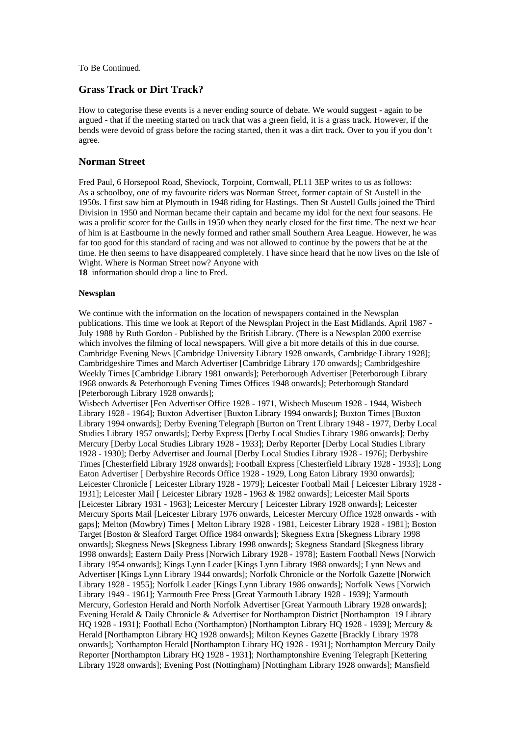To Be Continued.

#### **Grass Track or Dirt Track?**

How to categorise these events is a never ending source of debate. We would suggest - again to be argued - that if the meeting started on track that was a green field, it is a grass track. However, if the bends were devoid of grass before the racing started, then it was a dirt track. Over to you if you don't agree.

#### **Norman Street**

Fred Paul, 6 Horsepool Road, Sheviock, Torpoint, Cornwall, PL11 3EP writes to us as follows: As a schoolboy, one of my favourite riders was Norman Street, former captain of St Austell in the 1950s. I first saw him at Plymouth in 1948 riding for Hastings. Then St Austell Gulls joined the Third Division in 1950 and Norman became their captain and became my idol for the next four seasons. He was a prolific scorer for the Gulls in 1950 when they nearly closed for the first time. The next we hear of him is at Eastbourne in the newly formed and rather small Southern Area League. However, he was far too good for this standard of racing and was not allowed to continue by the powers that be at the time. He then seems to have disappeared completely. I have since heard that he now lives on the Isle of Wight. Where is Norman Street now? Anyone with

**18** information should drop a line to Fred.

#### **Newsplan**

We continue with the information on the location of newspapers contained in the Newsplan publications. This time we look at Report of the Newsplan Project in the East Midlands. April 1987 - July 1988 by Ruth Gordon - Published by the British Library. (There is a Newsplan 2000 exercise which involves the filming of local newspapers. Will give a bit more details of this in due course. Cambridge Evening News [Cambridge University Library 1928 onwards, Cambridge Library 1928]; Cambridgeshire Times and March Advertiser [Cambridge Library 170 onwards]; Cambridgeshire Weekly Times [Cambridge Library 1981 onwards]; Peterborough Advertiser [Peterborough Library 1968 onwards & Peterborough Evening Times Offices 1948 onwards]; Peterborough Standard [Peterborough Library 1928 onwards];

Wisbech Advertiser [Fen Advertiser Office 1928 - 1971, Wisbech Museum 1928 - 1944, Wisbech Library 1928 - 1964]; Buxton Advertiser [Buxton Library 1994 onwards]; Buxton Times [Buxton Library 1994 onwards]; Derby Evening Telegraph [Burton on Trent Library 1948 - 1977, Derby Local Studies Library 1957 onwards]; Derby Express [Derby Local Studies Library 1986 onwards]; Derby Mercury [Derby Local Studies Library 1928 - 1933]; Derby Reporter [Derby Local Studies Library 1928 - 1930]; Derby Advertiser and Journal [Derby Local Studies Library 1928 - 1976]; Derbyshire Times [Chesterfield Library 1928 onwards]; Football Express [Chesterfield Library 1928 - 1933]; Long Eaton Advertiser [ Derbyshire Records Office 1928 - 1929, Long Eaton Library 1930 onwards]; Leicester Chronicle [ Leicester Library 1928 - 1979]; Leicester Football Mail [ Leicester Library 1928 - 1931]; Leicester Mail [ Leicester Library 1928 - 1963 & 1982 onwards]; Leicester Mail Sports [Leicester Library 1931 - 1963]; Leicester Mercury [ Leicester Library 1928 onwards]; Leicester Mercury Sports Mail [Leicester Library 1976 onwards, Leicester Mercury Office 1928 onwards - with gaps]; Melton (Mowbry) Times [ Melton Library 1928 - 1981, Leicester Library 1928 - 1981]; Boston Target [Boston & Sleaford Target Office 1984 onwards]; Skegness Extra [Skegness Library 1998 onwards]; Skegness News [Skegness Library 1998 onwards]; Skegness Standard [Skegness library 1998 onwards]; Eastern Daily Press [Norwich Library 1928 - 1978]; Eastern Football News [Norwich Library 1954 onwards]; Kings Lynn Leader [Kings Lynn Library 1988 onwards]; Lynn News and Advertiser [Kings Lynn Library 1944 onwards]; Norfolk Chronicle or the Norfolk Gazette [Norwich Library 1928 - 1955]; Norfolk Leader [Kings Lynn Library 1986 onwards]; Norfolk News [Norwich Library 1949 - 1961]; Yarmouth Free Press [Great Yarmouth Library 1928 - 1939]; Yarmouth Mercury, Gorleston Herald and North Norfolk Advertiser [Great Yarmouth Library 1928 onwards]; Evening Herald & Daily Chronicle & Advertiser for Northampton District [Northampton 19 Library HQ 1928 - 1931]; Football Echo (Northampton) [Northampton Library HQ 1928 - 1939]; Mercury & Herald [Northampton Library HQ 1928 onwards]; Milton Keynes Gazette [Brackly Library 1978 onwards]; Northampton Herald [Northampton Library HQ 1928 - 1931]; Northampton Mercury Daily Reporter [Northampton Library HQ 1928 - 1931]; Northamptonshire Evening Telegraph [Kettering Library 1928 onwards]; Evening Post (Nottingham) [Nottingham Library 1928 onwards]; Mansfield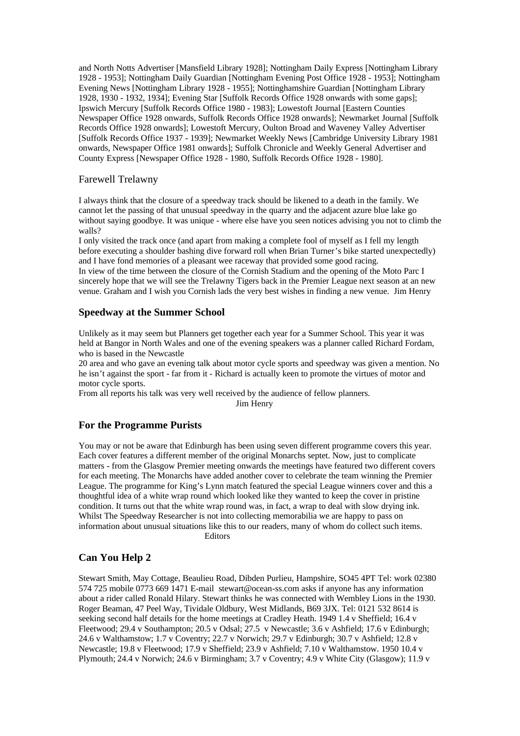and North Notts Advertiser [Mansfield Library 1928]; Nottingham Daily Express [Nottingham Library 1928 - 1953]; Nottingham Daily Guardian [Nottingham Evening Post Office 1928 - 1953]; Nottingham Evening News [Nottingham Library 1928 - 1955]; Nottinghamshire Guardian [Nottingham Library 1928, 1930 - 1932, 1934]; Evening Star [Suffolk Records Office 1928 onwards with some gaps]; Ipswich Mercury [Suffolk Records Office 1980 - 1983]; Lowestoft Journal [Eastern Counties Newspaper Office 1928 onwards, Suffolk Records Office 1928 onwards]; Newmarket Journal [Suffolk Records Office 1928 onwards]; Lowestoft Mercury, Oulton Broad and Waveney Valley Advertiser [Suffolk Records Office 1937 - 1939]; Newmarket Weekly News [Cambridge University Library 1981 onwards, Newspaper Office 1981 onwards]; Suffolk Chronicle and Weekly General Advertiser and County Express [Newspaper Office 1928 - 1980, Suffolk Records Office 1928 - 1980].

## Farewell Trelawny

I always think that the closure of a speedway track should be likened to a death in the family. We cannot let the passing of that unusual speedway in the quarry and the adjacent azure blue lake go without saying goodbye. It was unique - where else have you seen notices advising you not to climb the walls?

I only visited the track once (and apart from making a complete fool of myself as I fell my length before executing a shoulder bashing dive forward roll when Brian Turner's bike started unexpectedly) and I have fond memories of a pleasant wee raceway that provided some good racing. In view of the time between the closure of the Cornish Stadium and the opening of the Moto Parc I sincerely hope that we will see the Trelawny Tigers back in the Premier League next season at an new venue. Graham and I wish you Cornish lads the very best wishes in finding a new venue. Jim Henry

## **Speedway at the Summer School**

Unlikely as it may seem but Planners get together each year for a Summer School. This year it was held at Bangor in North Wales and one of the evening speakers was a planner called Richard Fordam, who is based in the Newcastle

20 area and who gave an evening talk about motor cycle sports and speedway was given a mention. No he isn't against the sport - far from it - Richard is actually keen to promote the virtues of motor and motor cycle sports.

From all reports his talk was very well received by the audience of fellow planners. Jim Henry

## **For the Programme Purists**

You may or not be aware that Edinburgh has been using seven different programme covers this year. Each cover features a different member of the original Monarchs septet. Now, just to complicate matters - from the Glasgow Premier meeting onwards the meetings have featured two different covers for each meeting. The Monarchs have added another cover to celebrate the team winning the Premier League. The programme for King's Lynn match featured the special League winners cover and this a thoughtful idea of a white wrap round which looked like they wanted to keep the cover in pristine condition. It turns out that the white wrap round was, in fact, a wrap to deal with slow drying ink. Whilst The Speedway Researcher is not into collecting memorabilia we are happy to pass on information about unusual situations like this to our readers, many of whom do collect such items. Editors

## **Can You Help 2**

Stewart Smith, May Cottage, Beaulieu Road, Dibden Purlieu, Hampshire, SO45 4PT Tel: work 02380 574 725 mobile 0773 669 1471 E-mail stewart@ocean-ss.com asks if anyone has any information about a rider called Ronald Hilary. Stewart thinks he was connected with Wembley Lions in the 1930. Roger Beaman, 47 Peel Way, Tividale Oldbury, West Midlands, B69 3JX. Tel: 0121 532 8614 is seeking second half details for the home meetings at Cradley Heath. 1949 1.4 v Sheffield; 16.4 v Fleetwood; 29.4 v Southampton; 20.5 v Odsal; 27.5 v Newcastle; 3.6 v Ashfield; 17.6 v Edinburgh; 24.6 v Walthamstow; 1.7 v Coventry; 22.7 v Norwich; 29.7 v Edinburgh; 30.7 v Ashfield; 12.8 v Newcastle; 19.8 v Fleetwood; 17.9 v Sheffield; 23.9 v Ashfield; 7.10 v Walthamstow. 1950 10.4 v Plymouth; 24.4 v Norwich; 24.6 v Birmingham; 3.7 v Coventry; 4.9 v White City (Glasgow); 11.9 v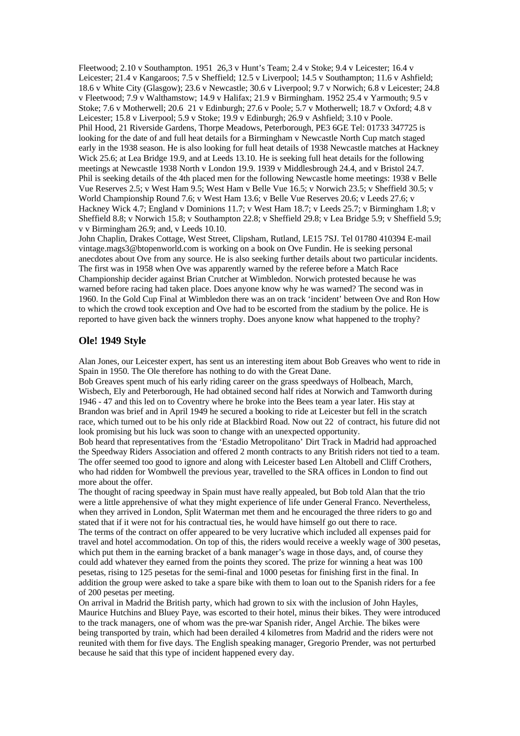Fleetwood; 2.10 v Southampton. 1951 26,3 v Hunt's Team; 2.4 v Stoke; 9.4 v Leicester; 16.4 v Leicester; 21.4 v Kangaroos; 7.5 v Sheffield; 12.5 v Liverpool; 14.5 v Southampton; 11.6 v Ashfield; 18.6 v White City (Glasgow); 23.6 v Newcastle; 30.6 v Liverpool; 9.7 v Norwich; 6.8 v Leicester; 24.8 v Fleetwood; 7.9 v Walthamstow; 14.9 v Halifax; 21.9 v Birmingham. 1952 25.4 v Yarmouth; 9.5 v Stoke; 7.6 v Motherwell; 20.6 21 v Edinburgh; 27.6 v Poole; 5.7 v Motherwell; 18.7 v Oxford; 4.8 v Leicester; 15.8 v Liverpool; 5.9 v Stoke; 19.9 v Edinburgh; 26.9 v Ashfield; 3.10 v Poole. Phil Hood, 21 Riverside Gardens, Thorpe Meadows, Peterborough, PE3 6GE Tel: 01733 347725 is looking for the date of and full heat details for a Birmingham v Newcastle North Cup match staged early in the 1938 season. He is also looking for full heat details of 1938 Newcastle matches at Hackney Wick 25.6; at Lea Bridge 19.9, and at Leeds 13.10. He is seeking full heat details for the following meetings at Newcastle 1938 North v London 19.9. 1939 v Middlesbrough 24.4, and v Bristol 24.7. Phil is seeking details of the 4th placed men for the following Newcastle home meetings: 1938 v Belle Vue Reserves 2.5; v West Ham 9.5; West Ham v Belle Vue 16.5; v Norwich 23.5; v Sheffield 30.5; v World Championship Round 7.6; v West Ham 13.6; v Belle Vue Reserves 20.6; v Leeds 27.6; v Hackney Wick 4.7; England v Dominions 11.7; v West Ham 18.7; v Leeds 25.7; v Birmingham 1.8; v Sheffield 8.8; v Norwich 15.8; v Southampton 22.8; v Sheffield 29.8; v Lea Bridge 5.9; v Sheffield 5.9; v v Birmingham 26.9; and, v Leeds 10.10.

John Chaplin, Drakes Cottage, West Street, Clipsham, Rutland, LE15 7SJ. Tel 01780 410394 E-mail vintage.mags3@btopenworld.com is working on a book on Ove Fundin. He is seeking personal anecdotes about Ove from any source. He is also seeking further details about two particular incidents. The first was in 1958 when Ove was apparently warned by the referee before a Match Race Championship decider against Brian Crutcher at Wimbledon. Norwich protested because he was warned before racing had taken place. Does anyone know why he was warned? The second was in 1960. In the Gold Cup Final at Wimbledon there was an on track 'incident' between Ove and Ron How to which the crowd took exception and Ove had to be escorted from the stadium by the police. He is reported to have given back the winners trophy. Does anyone know what happened to the trophy?

#### **Ole! 1949 Style**

Alan Jones, our Leicester expert, has sent us an interesting item about Bob Greaves who went to ride in Spain in 1950. The Ole therefore has nothing to do with the Great Dane.

Bob Greaves spent much of his early riding career on the grass speedways of Holbeach, March, Wisbech, Ely and Peterborough, He had obtained second half rides at Norwich and Tamworth during 1946 - 47 and this led on to Coventry where he broke into the Bees team a year later. His stay at Brandon was brief and in April 1949 he secured a booking to ride at Leicester but fell in the scratch race, which turned out to be his only ride at Blackbird Road. Now out 22 of contract, his future did not look promising but his luck was soon to change with an unexpected opportunity.

Bob heard that representatives from the 'Estadio Metropolitano' Dirt Track in Madrid had approached the Speedway Riders Association and offered 2 month contracts to any British riders not tied to a team. The offer seemed too good to ignore and along with Leicester based Len Altobell and Cliff Crothers, who had ridden for Wombwell the previous year, travelled to the SRA offices in London to find out more about the offer.

The thought of racing speedway in Spain must have really appealed, but Bob told Alan that the trio were a little apprehensive of what they might experience of life under General Franco. Nevertheless, when they arrived in London, Split Waterman met them and he encouraged the three riders to go and stated that if it were not for his contractual ties, he would have himself go out there to race. The terms of the contract on offer appeared to be very lucrative which included all expenses paid for travel and hotel accommodation. On top of this, the riders would receive a weekly wage of 300 pesetas, which put them in the earning bracket of a bank manager's wage in those days, and, of course they could add whatever they earned from the points they scored. The prize for winning a heat was 100 pesetas, rising to 125 pesetas for the semi-final and 1000 pesetas for finishing first in the final. In addition the group were asked to take a spare bike with them to loan out to the Spanish riders for a fee of 200 pesetas per meeting.

On arrival in Madrid the British party, which had grown to six with the inclusion of John Hayles, Maurice Hutchins and Bluey Paye, was escorted to their hotel, minus their bikes. They were introduced to the track managers, one of whom was the pre-war Spanish rider, Angel Archie. The bikes were being transported by train, which had been derailed 4 kilometres from Madrid and the riders were not reunited with them for five days. The English speaking manager, Gregorio Prender, was not perturbed because he said that this type of incident happened every day.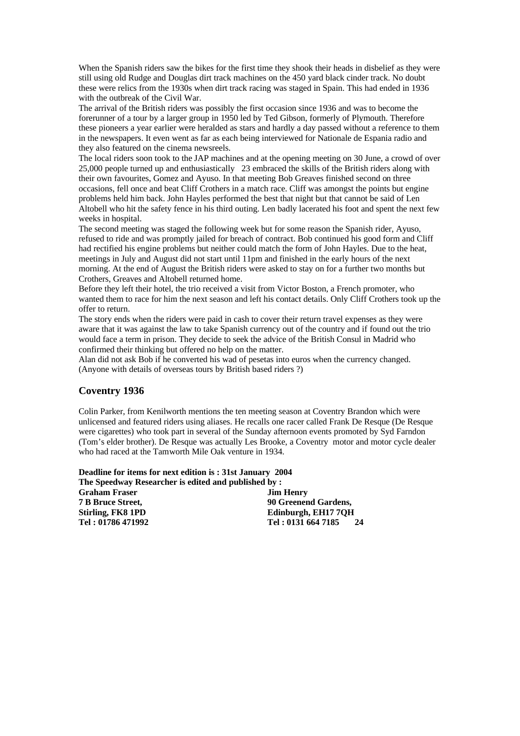When the Spanish riders saw the bikes for the first time they shook their heads in disbelief as they were still using old Rudge and Douglas dirt track machines on the 450 yard black cinder track. No doubt these were relics from the 1930s when dirt track racing was staged in Spain. This had ended in 1936 with the outbreak of the Civil War.

The arrival of the British riders was possibly the first occasion since 1936 and was to become the forerunner of a tour by a larger group in 1950 led by Ted Gibson, formerly of Plymouth. Therefore these pioneers a year earlier were heralded as stars and hardly a day passed without a reference to them in the newspapers. It even went as far as each being interviewed for Nationale de Espania radio and they also featured on the cinema newsreels.

The local riders soon took to the JAP machines and at the opening meeting on 30 June, a crowd of over 25,000 people turned up and enthusiastically 23 embraced the skills of the British riders along with their own favourites, Gomez and Ayuso. In that meeting Bob Greaves finished second on three occasions, fell once and beat Cliff Crothers in a match race. Cliff was amongst the points but engine problems held him back. John Hayles performed the best that night but that cannot be said of Len Altobell who hit the safety fence in his third outing. Len badly lacerated his foot and spent the next few weeks in hospital.

The second meeting was staged the following week but for some reason the Spanish rider, Ayuso, refused to ride and was promptly jailed for breach of contract. Bob continued his good form and Cliff had rectified his engine problems but neither could match the form of John Hayles. Due to the heat, meetings in July and August did not start until 11pm and finished in the early hours of the next morning. At the end of August the British riders were asked to stay on for a further two months but Crothers, Greaves and Altobell returned home.

Before they left their hotel, the trio received a visit from Victor Boston, a French promoter, who wanted them to race for him the next season and left his contact details. Only Cliff Crothers took up the offer to return.

The story ends when the riders were paid in cash to cover their return travel expenses as they were aware that it was against the law to take Spanish currency out of the country and if found out the trio would face a term in prison. They decide to seek the advice of the British Consul in Madrid who confirmed their thinking but offered no help on the matter.

Alan did not ask Bob if he converted his wad of pesetas into euros when the currency changed. (Anyone with details of overseas tours by British based riders ?)

### **Coventry 1936**

Colin Parker, from Kenilworth mentions the ten meeting season at Coventry Brandon which were unlicensed and featured riders using aliases. He recalls one racer called Frank De Resque (De Resque were cigarettes) who took part in several of the Sunday afternoon events promoted by Syd Farndon (Tom's elder brother). De Resque was actually Les Brooke, a Coventry motor and motor cycle dealer who had raced at the Tamworth Mile Oak venture in 1934.

**Deadline for items for next edition is : 31st January 2004 The Speedway Researcher is edited and published by :**

**Graham Fraser Jim Henry 7 B Bruce Street, 90 Greenend Gardens, Stirling, FK8 1PD Edinburgh, EH17 7QH Tel : 01786 471992 Tel : 0131 664 7185 24**